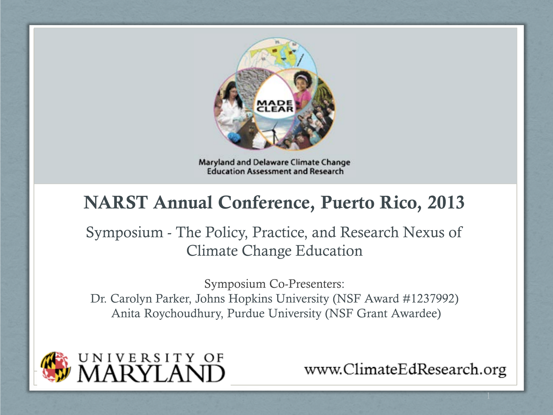

Maryland and Delaware Climate Change **Education Assessment and Research** 

#### NARST Annual Conference, Puerto Rico, 2013

Symposium - The Policy, Practice, and Research Nexus of Climate Change Education

Symposium Co-Presenters: Dr. Carolyn Parker, Johns Hopkins University (NSF Award #1237992) Anita Roychoudhury, Purdue University (NSF Grant Awardee)



www.ClimateEdResearch.org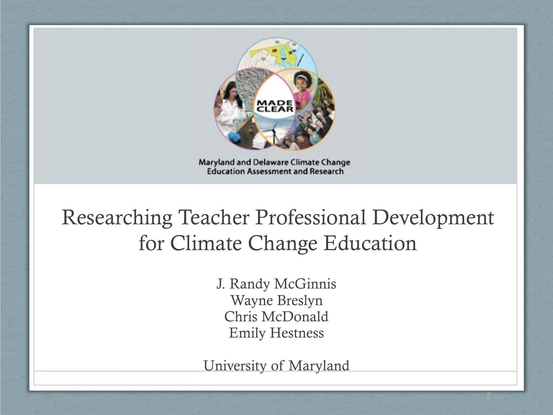

Maryland and Delaware Climate Change **Education Assessment and Research** 

#### Researching Teacher Professional Development for Climate Change Education

J. Randy McGinnis Wayne Breslyn Chris McDonald Emily Hestness

University of Maryland

2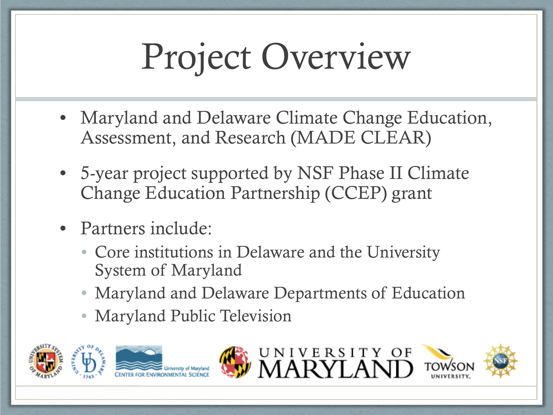# Project Overview

- Maryland and Delaware Climate Change Education, Assessment, and Research (MADE CLEAR)
- 5-year project supported by NSF Phase II Climate Change Education Partnership (CCEP) grant
- Partners include:
	- Core institutions in Delaware and the University System of Maryland
	- Maryland and Delaware Departments of Education
	- Maryland Public Television





UNIVERSITY OF<br>MARVI AND



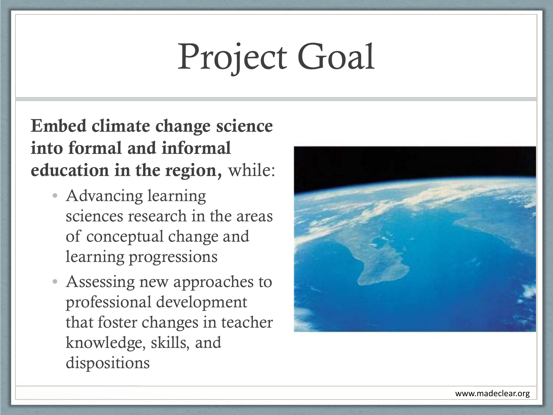## Project Goal

Embed climate change science into formal and informal education in the region, while:

- Advancing learning sciences research in the areas of conceptual change and learning progressions
- Assessing new approaches to professional development that foster changes in teacher knowledge, skills, and dispositions

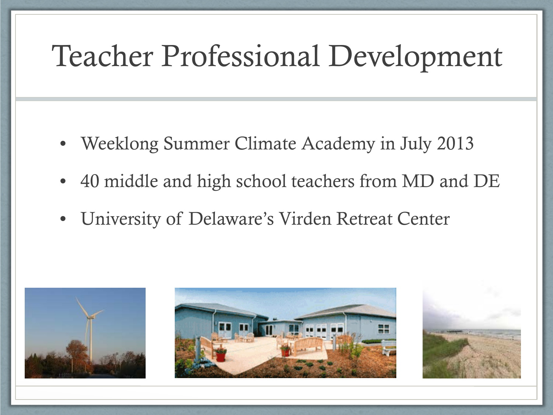#### Teacher Professional Development

- Weeklong Summer Climate Academy in July 2013
- 40 middle and high school teachers from MD and DE
- University of Delaware's Virden Retreat Center

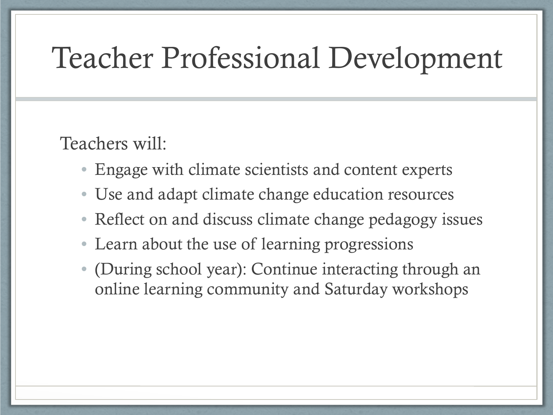#### Teacher Professional Development

Teachers will:

- Engage with climate scientists and content experts
- Use and adapt climate change education resources
- Reflect on and discuss climate change pedagogy issues
- Learn about the use of learning progressions
- (During school year): Continue interacting through an online learning community and Saturday workshops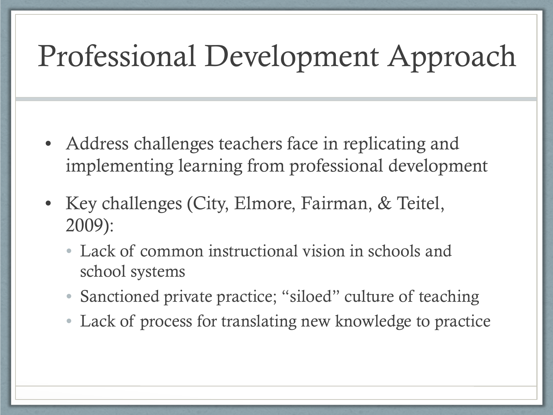### Professional Development Approach

- Address challenges teachers face in replicating and implementing learning from professional development
- Key challenges (City, Elmore, Fairman, & Teitel, 2009):
	- Lack of common instructional vision in schools and school systems
	- Sanctioned private practice; "siloed" culture of teaching
	- Lack of process for translating new knowledge to practice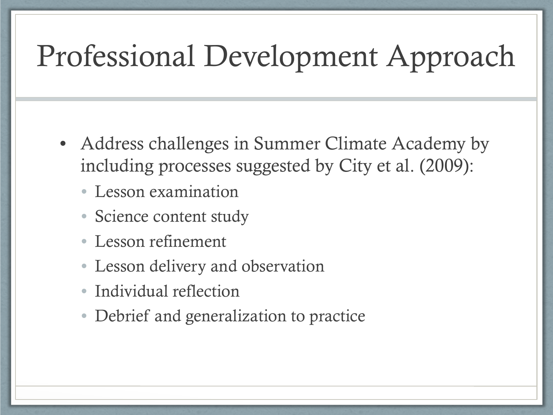### Professional Development Approach

- Address challenges in Summer Climate Academy by including processes suggested by City et al. (2009):
	- Lesson examination
	- Science content study
	- Lesson refinement
	- Lesson delivery and observation
	- Individual reflection
	- Debrief and generalization to practice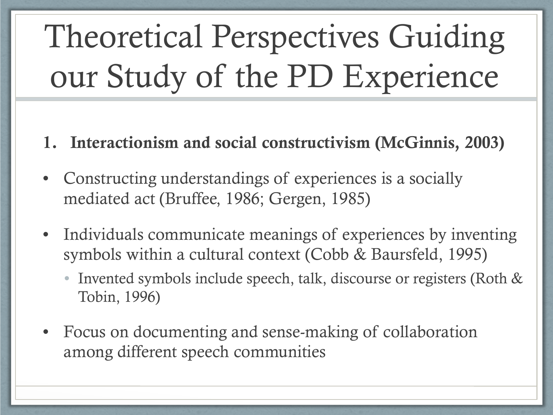- 1. Interactionism and social constructivism (McGinnis, 2003)
- Constructing understandings of experiences is a socially mediated act (Bruffee, 1986; Gergen, 1985)
- Individuals communicate meanings of experiences by inventing symbols within a cultural context (Cobb & Baursfeld, 1995)
	- Invented symbols include speech, talk, discourse or registers (Roth & Tobin, 1996)
- Focus on documenting and sense-making of collaboration among different speech communities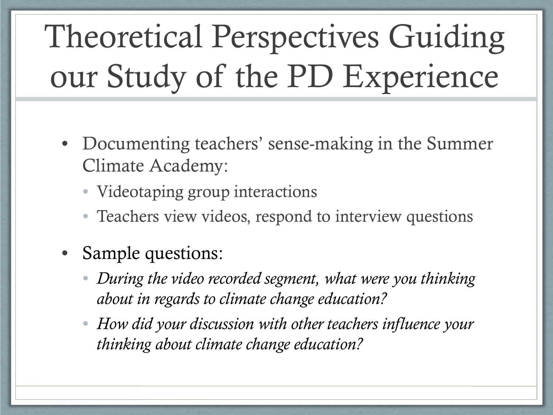- Documenting teachers' sense-making in the Summer Climate Academy:
	- Videotaping group interactions
	- Teachers view videos, respond to interview questions
- Sample questions:
	- *During the video recorded segment, what were you thinking about in regards to climate change education?*
	- *How did your discussion with other teachers influence your thinking about climate change education?*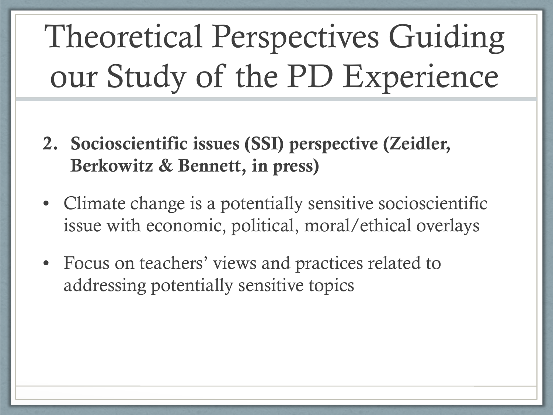- 2. Socioscientific issues (SSI) perspective (Zeidler, Berkowitz & Bennett, in press)
- Climate change is a potentially sensitive socioscientific issue with economic, political, moral/ethical overlays
- Focus on teachers' views and practices related to addressing potentially sensitive topics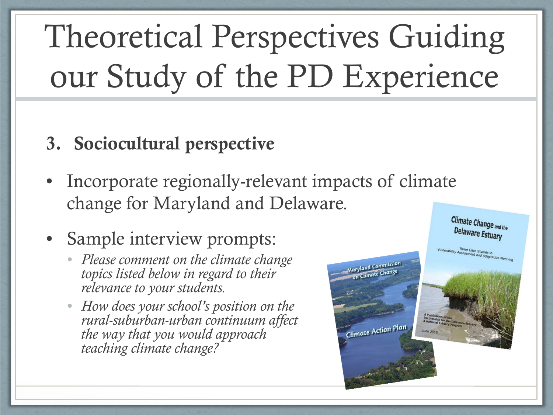#### 3. Sociocultural perspective

- Incorporate regionally-relevant impacts of climate change for Maryland and Delaware.
- Sample interview prompts:
	- *Please comment on the climate change topics listed below in regard to their relevance to your students.*
	- *How does your school's position on the rural-suburban-urban continuum affect the way that you would approach teaching climate change?*

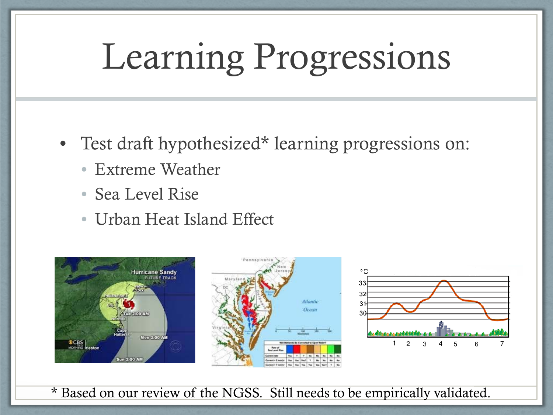## Learning Progressions

- Test draft hypothesized\* learning progressions on:
	- Extreme Weather
	- Sea Level Rise
	- Urban Heat Island Effect





\* Based on our review of the NGSS. Still needs to be empirically validated.

**Atlantic** Ocean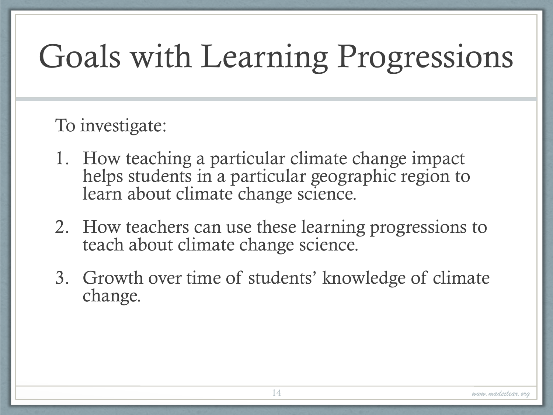### Goals with Learning Progressions

#### To investigate:

- 1. How teaching a particular climate change impact helps students in a particular geographic region to learn about climate change science.
- 2. How teachers can use these learning progressions to teach about climate change science.
- 3. Growth over time of students' knowledge of climate change.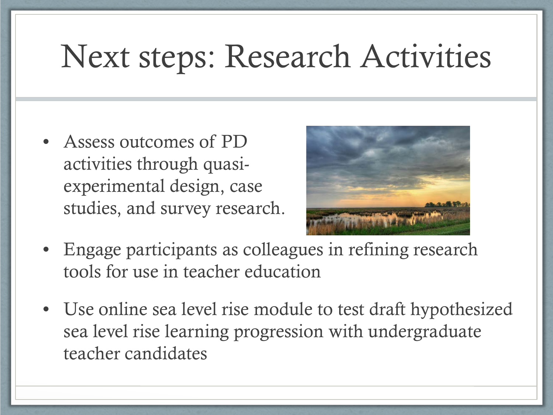### Next steps: Research Activities

• Assess outcomes of PD activities through quasiexperimental design, case studies, and survey research.



- Engage participants as colleagues in refining research tools for use in teacher education
- Use online sea level rise module to test draft hypothesized sea level rise learning progression with undergraduate teacher candidates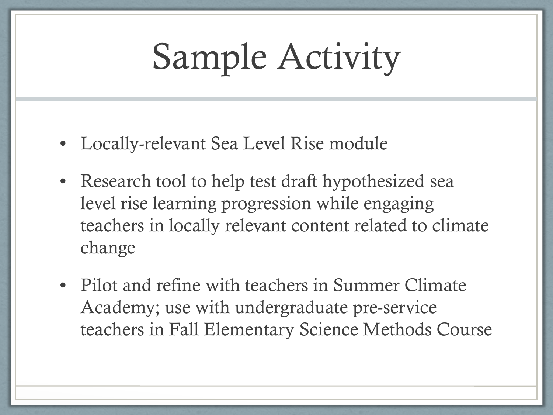## Sample Activity

- Locally-relevant Sea Level Rise module
- Research tool to help test draft hypothesized sea level rise learning progression while engaging teachers in locally relevant content related to climate change
- Pilot and refine with teachers in Summer Climate Academy; use with undergraduate pre-service teachers in Fall Elementary Science Methods Course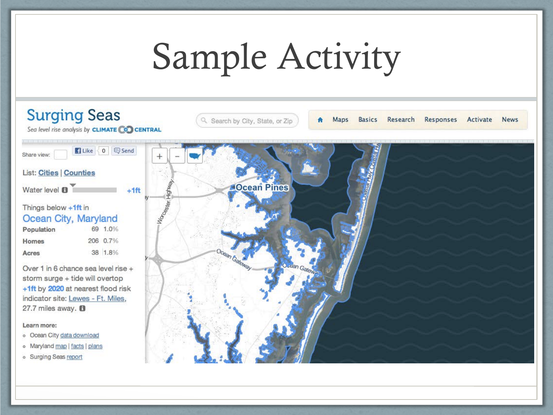# Sample Activity